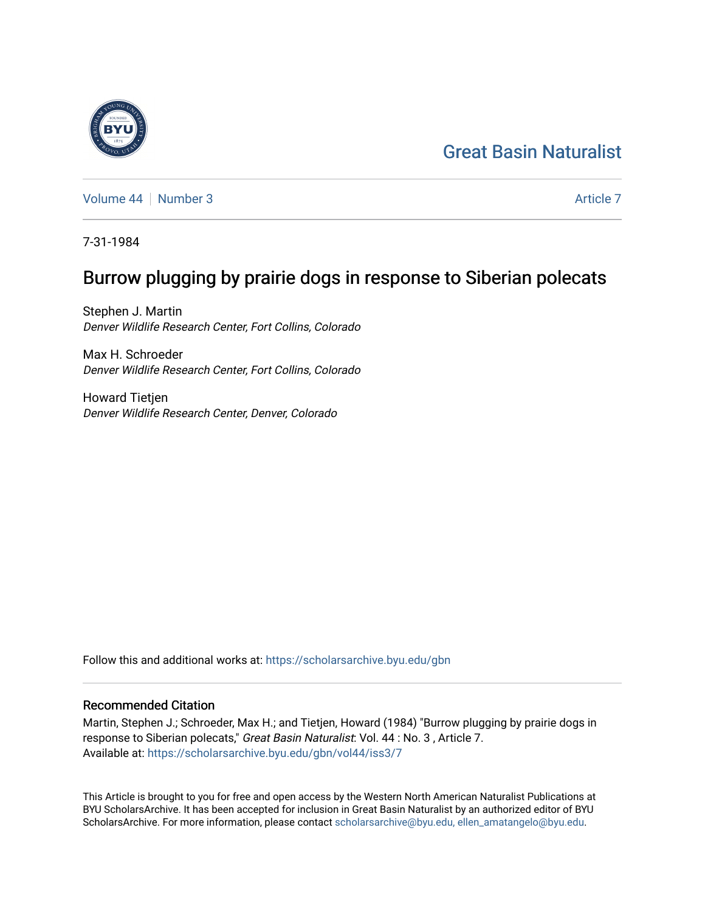# [Great Basin Naturalist](https://scholarsarchive.byu.edu/gbn)

[Volume 44](https://scholarsarchive.byu.edu/gbn/vol44) | [Number 3](https://scholarsarchive.byu.edu/gbn/vol44/iss3) [Article 7](https://scholarsarchive.byu.edu/gbn/vol44/iss3/7) Article 7 Article 7 Article 7 Article 7 Article 7

7-31-1984

## Burrow plugging by prairie dogs in response to Siberian polecats

Stephen J. Martin Denver Wildlife Research Center, Fort Collins, Colorado

Max H. Schroeder Denver Wildlife Research Center, Fort Collins, Colorado

Howard Tietjen Denver Wildlife Research Center, Denver, Colorado

Follow this and additional works at: [https://scholarsarchive.byu.edu/gbn](https://scholarsarchive.byu.edu/gbn?utm_source=scholarsarchive.byu.edu%2Fgbn%2Fvol44%2Fiss3%2F7&utm_medium=PDF&utm_campaign=PDFCoverPages) 

### Recommended Citation

Martin, Stephen J.; Schroeder, Max H.; and Tietjen, Howard (1984) "Burrow plugging by prairie dogs in response to Siberian polecats," Great Basin Naturalist: Vol. 44 : No. 3 , Article 7. Available at: [https://scholarsarchive.byu.edu/gbn/vol44/iss3/7](https://scholarsarchive.byu.edu/gbn/vol44/iss3/7?utm_source=scholarsarchive.byu.edu%2Fgbn%2Fvol44%2Fiss3%2F7&utm_medium=PDF&utm_campaign=PDFCoverPages)

This Article is brought to you for free and open access by the Western North American Naturalist Publications at BYU ScholarsArchive. It has been accepted for inclusion in Great Basin Naturalist by an authorized editor of BYU ScholarsArchive. For more information, please contact [scholarsarchive@byu.edu, ellen\\_amatangelo@byu.edu.](mailto:scholarsarchive@byu.edu,%20ellen_amatangelo@byu.edu)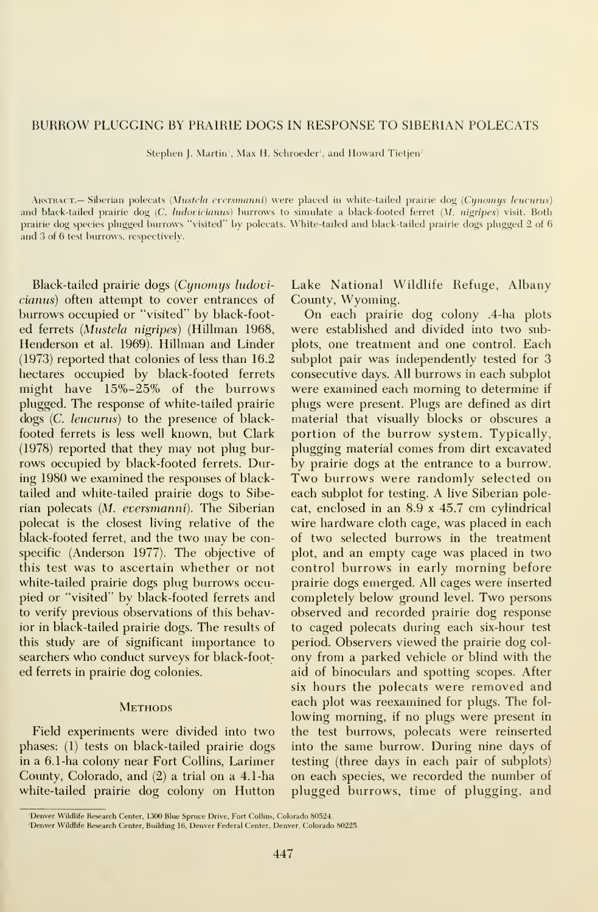#### BURROW PLUGGING BY PRAIRIE DOGS IN RESPONSE TO SIBERIAN POLECATS

Stephen J. Martin', Max H. Schroeder', and Howard Tietjen<sup>2</sup>

ABSTRACT.— Siberian polecats (Mustela eversmanni) were placed in white-tailed prairie dog (Cynomys leucurus) and black-tailed prairie dog (C. ludovicianus) burrows to simulate a black-footed ferret (M. nigripes) visit. Both prairie dog species plugged burrows "visited" bv polecats. White-tailed and black-tailed prairie dogs plugged 2 of 6 and 3 of 6 test burrows, respectively.

Black-tailed prairie dogs (Cynomys ludovicianus) often attempt to cover entrances of burrows occupied or "visited" by black-foot ed ferrets (Mustela nigripes) (Hillman 1968, Henderson et al. 1969). Hillman and Linder (1973) reported that colonies of less than 16.2 hectares occupied by black-footed ferrets might have 15%-25% of the burrows plugged. The response of white-tailed prairie dogs (C. leucurus) to the presence of blackfooted ferrets is less well known, but Clark (1978) reported that they may not plug bur rows occupied by black-footed ferrets. During 1980 we examined the responses of blacktailed and white-tailed prairie dogs to Siberian polecats {M. eversmanni). The Siberian polecat is the closest living relative of the black-footed ferret, and the two may be conspecific (Anderson 1977). The objective of this test was to ascertain whether or not white-tailed prairie dogs plug burrows occupied or "visited" by black-footed ferrets and to verify previous observations of this behavior in black-tailed prairie dogs. The results of this study are of significant importance to searchers who conduct surveys for black-foot ed ferrets in prairie dog colonies.

#### **METHODS**

Field experiments were divided into two phases: (1) tests on black-tailed prairie dogs in a 6.1-ha colony near Fort Collins, Larimer Coimty, Colorado, and (2) a trial on a 4.1-ha white-tailed prairie dog colony on Hutton Lake National Wildlife Refuge, Albany County, Wyoming.

On each prairie dog colony .4-ha plots were established and divided into two subplots, one treatment and one control. Each subplot pair was independently tested for 3 consecutive days. All burrows in each subplot were examined each morning to determine if plugs were present. Plugs are defined as dirt material that visually blocks or obscures a portion of the burrow system. Typically, plugging material comes from dirt excavated by prairie dogs at the entrance to a burrow. Two burrows were randomly selected on each subplot for testing. A live Siberian polecat, enclosed in an 8.9 <sup>x</sup> 45.7 cm cylindrical wire hardware cloth cage, was placed in each of two selected burrows in the treatment plot, and an empty cage was placed in two control burrows in early morning before prairie dogs emerged. All cages were inserted completely below ground level. Two persons observed and recorded prairie dog response to caged polecats during each six-hour test period. Observers viewed the prairie dog col ony from a parked vehicle or blind with the aid of binoculars and spotting scopes. After six hours the polecats were removed and each plot was reexamined for plugs. The fol lowing morning, if no plugs were present in the test burrows, polecats were reinserted into the same burrow. During nine days of testing (three days in each pair of subplots) on each species, we recorded the number of plugged burrows, time of plugging, and

<sup>&#</sup>x27;Denver Wildlife Research Center, 1300 Blue Spruce Drive, Fort Collins, Colorado 80524.

<sup>-</sup>Denver Wildlife Research Center, Building 16, Denver Federal Center, Denver, Colorado 80225.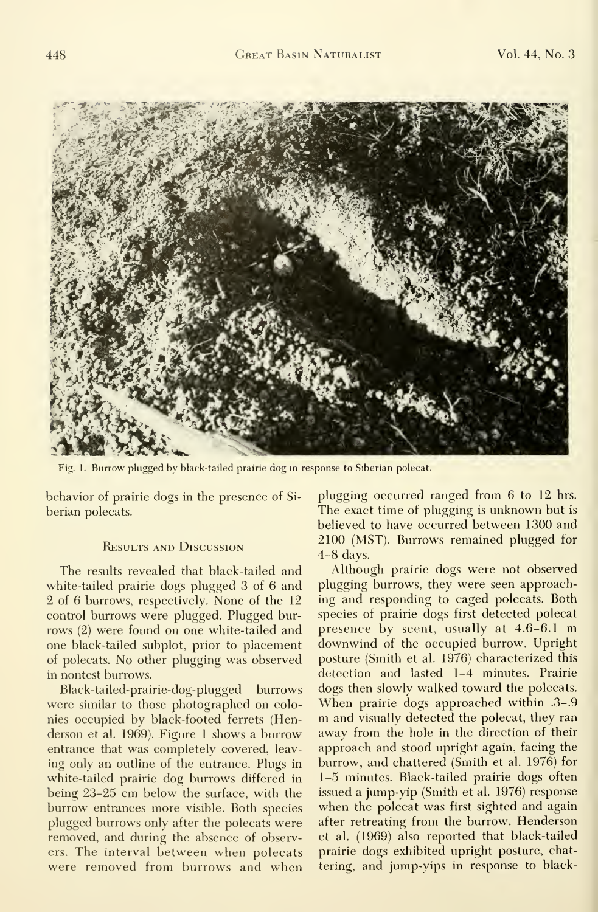

Fig. 1. Burrow plugged bv black-tailed prairie dog in response to Siberian polecat.

behavior of prairie dogs in the presence of Si berian polecats.

#### Results and Discussion

The results revealed that black-tailed and white-tailed prairie dogs plugged 3 of 6 and 2 of 6 burrows, respectively. None of the 12 control burrows were plugged. Plugged bur rows (2) were found on one white-tailed and one black-tailed subplot, prior to placement of polecats. No other plugging was observed in nontest burrows.

Black-tailed-prairie-dog-plugged burrows were similar to those photographed on colonies occupied by black-footed ferrets (Henderson et al. 1969). Figure <sup>1</sup> shows a burrow entrance that was completely covered, leav ing only an outline of the entrance. Plugs in white-tailed prairie dog burrows differed in being 23-25 cm below the surface, with the burrow entrances more visible. Both species plugged burrows only after the polecats were removed, and during the absence of observers. The interval between when polecats were removed from burrows and when

plugging occurred ranged from 6 to 12 hrs. The exact time of plugging is unknown but is believed to have occurred between 1300 and 2100 (MST). Burrows remained plugged for 4-8 days.

Although prairie dogs were not observed plugging burrows, they were seen approaching and responding to caged polecats. Both species of prairie dogs first detected polecat presence by scent, usually at 4.6-6.1 m downwind of the occupied burrow. Upright posture (Smith et al. 1976) characterized this detection and lasted 1-4 minutes. Prairie dogs then slowly walked toward the polecats. When prairie dogs approached within .3-. m and visually detected the polecat, they ran away from the hole in the direction of their approach and stood upright again, facing the burrow, and chattered (Smith et al. 1976) for 1-5 minutes. Black-tailed prairie dogs often issued a jump-yip (Smith et al. 1976) response when the polecat was first sighted and again after retreating from the burrow. Henderson et al. (1969) also reported that black-tailed prairie dogs exhibited upright posture, chattering, and jump-yips in response to black